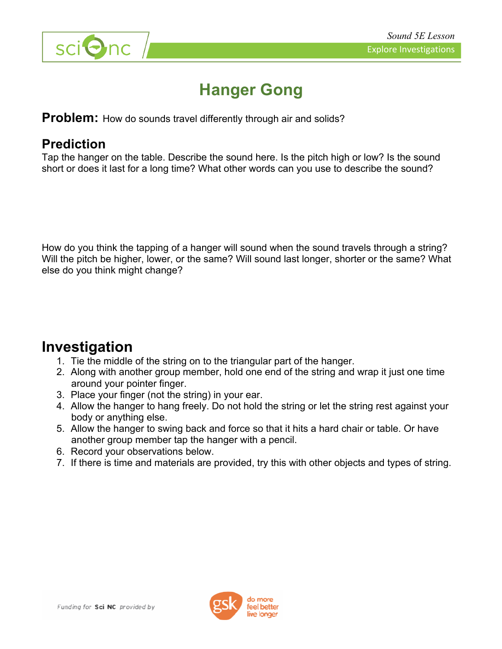

# **Hanger Gong**

**Problem:** How do sounds travel differently through air and solids?

### **Prediction**

Tap the hanger on the table. Describe the sound here. Is the pitch high or low? Is the sound short or does it last for a long time? What other words can you use to describe the sound?

How do you think the tapping of a hanger will sound when the sound travels through a string? Will the pitch be higher, lower, or the same? Will sound last longer, shorter or the same? What else do you think might change?

## **Investigation**

- 1. Tie the middle of the string on to the triangular part of the hanger.
- 2. Along with another group member, hold one end of the string and wrap it just one time around your pointer finger.
- 3. Place your finger (not the string) in your ear.
- 4. Allow the hanger to hang freely. Do not hold the string or let the string rest against your body or anything else.
- 5. Allow the hanger to swing back and force so that it hits a hard chair or table. Or have another group member tap the hanger with a pencil.
- 6. Record your observations below.
- 7. If there is time and materials are provided, try this with other objects and types of string.

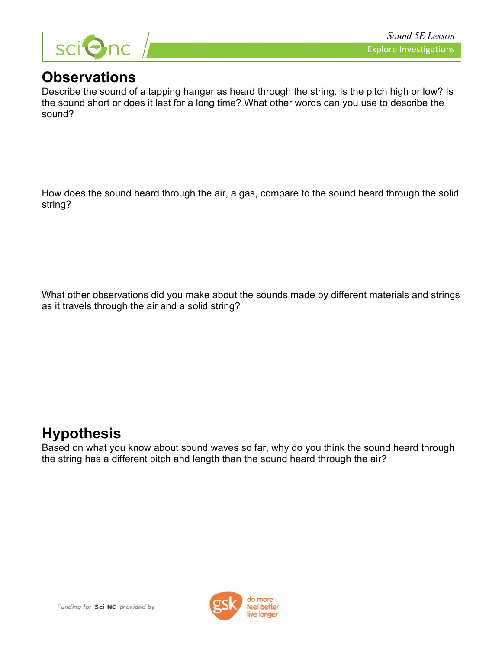

## **Observations**

Describe the sound of a tapping hanger as heard through the string. Is the pitch high or low? Is the sound short or does it last for a long time? What other words can you use to describe the sound?

How does the sound heard through the air, a gas, compare to the sound heard through the solid string?

What other observations did you make about the sounds made by different materials and strings as it travels through the air and a solid string?

## **Hypothesis**

Based on what you know about sound waves so far, why do you think the sound heard through the string has a different pitch and length than the sound heard through the air?

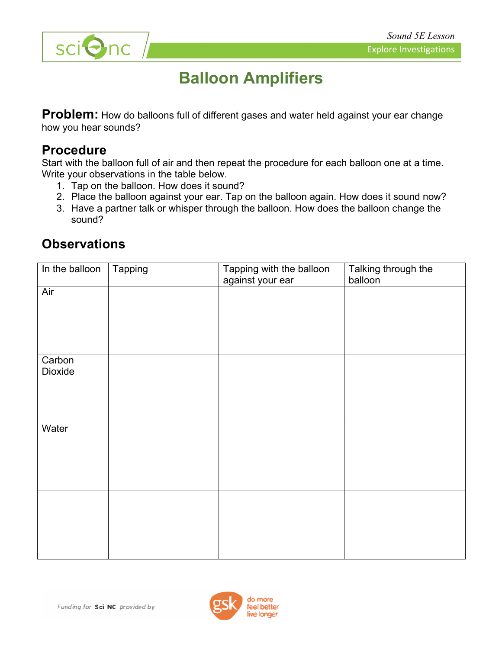

# **Balloon Amplifiers**

**Problem:** How do balloons full of different gases and water held against your ear change how you hear sounds?

#### **Procedure**

Start with the balloon full of air and then repeat the procedure for each balloon one at a time. Write your observations in the table below.

- 1. Tap on the balloon. How does it sound?
- 2. Place the balloon against your ear. Tap on the balloon again. How does it sound now?
- 3. Have a partner talk or whisper through the balloon. How does the balloon change the sound?

| In the balloon           | Tapping | Tapping with the balloon<br>against your ear | Talking through the<br>balloon |
|--------------------------|---------|----------------------------------------------|--------------------------------|
| Air                      |         |                                              |                                |
|                          |         |                                              |                                |
|                          |         |                                              |                                |
|                          |         |                                              |                                |
| Carbon<br><b>Dioxide</b> |         |                                              |                                |
|                          |         |                                              |                                |
|                          |         |                                              |                                |
| Water                    |         |                                              |                                |
|                          |         |                                              |                                |
|                          |         |                                              |                                |
|                          |         |                                              |                                |
|                          |         |                                              |                                |
|                          |         |                                              |                                |
|                          |         |                                              |                                |
|                          |         |                                              |                                |

### **Observations**

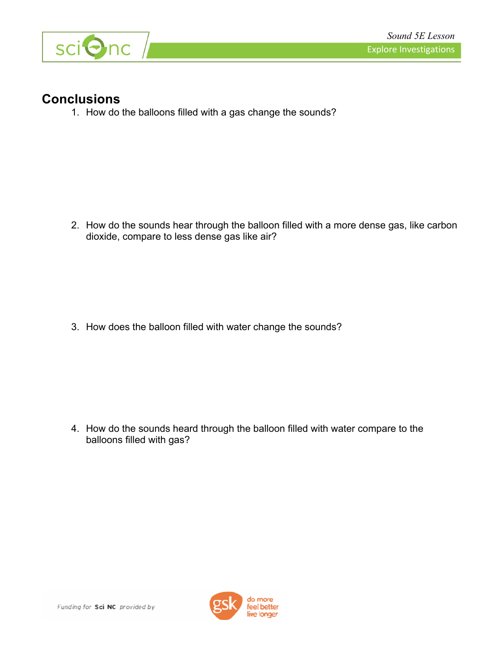

#### **Conclusions**

1. How do the balloons filled with a gas change the sounds?

2. How do the sounds hear through the balloon filled with a more dense gas, like carbon dioxide, compare to less dense gas like air?

3. How does the balloon filled with water change the sounds?

4. How do the sounds heard through the balloon filled with water compare to the balloons filled with gas?

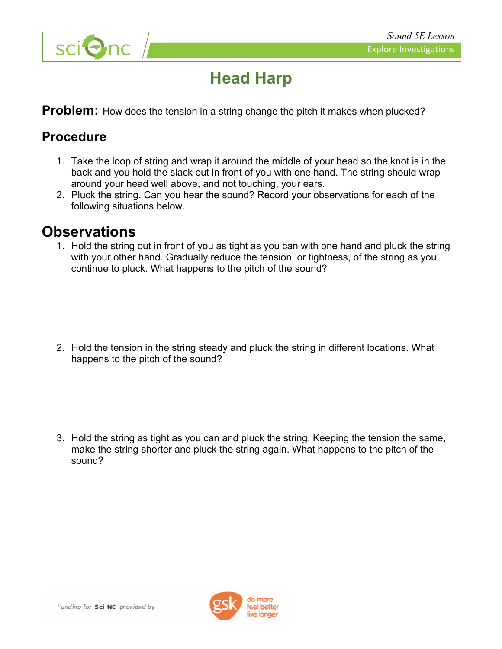



# **Head Harp**

**Problem:** How does the tension in a string change the pitch it makes when plucked?

#### **Procedure**

- 1. Take the loop of string and wrap it around the middle of your head so the knot is in the back and you hold the slack out in front of you with one hand. The string should wrap around your head well above, and not touching, your ears.
- 2. Pluck the string. Can you hear the sound? Record your observations for each of the following situations below.

### **Observations**

1. Hold the string out in front of you as tight as you can with one hand and pluck the string with your other hand. Gradually reduce the tension, or tightness, of the string as you continue to pluck. What happens to the pitch of the sound?

2. Hold the tension in the string steady and pluck the string in different locations. What happens to the pitch of the sound?

3. Hold the string as tight as you can and pluck the string. Keeping the tension the same, make the string shorter and pluck the string again. What happens to the pitch of the sound?